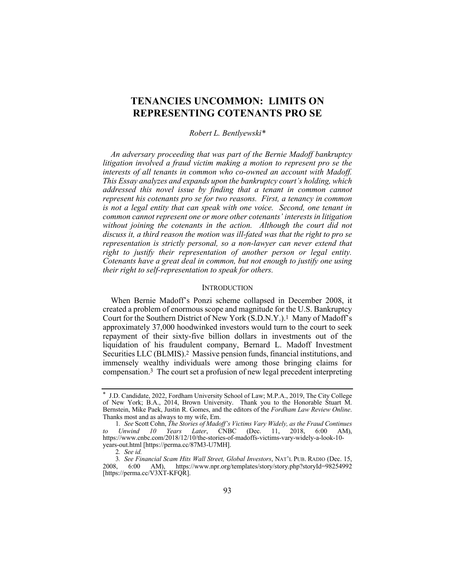# **TENANCIES UNCOMMON: LIMITS ON REPRESENTING COTENANTS PRO SE**

### *Robert L. Bentlyewski\**

*An adversary proceeding that was part of the Bernie Madoff bankruptcy litigation involved a fraud victim making a motion to represent pro se the interests of all tenants in common who co-owned an account with Madoff. This Essay analyzes and expands upon the bankruptcy court's holding, which addressed this novel issue by finding that a tenant in common cannot represent his cotenants pro se for two reasons. First, a tenancy in common is not a legal entity that can speak with one voice. Second, one tenant in common cannot represent one or more other cotenants' interests in litigation without joining the cotenants in the action. Although the court did not discuss it, a third reason the motion was ill-fated was that the right to pro se representation is strictly personal, so a non-lawyer can never extend that right to justify their representation of another person or legal entity. Cotenants have a great deal in common, but not enough to justify one using their right to self-representation to speak for others.*

# **INTRODUCTION**

When Bernie Madoff's Ponzi scheme collapsed in December 2008, it created a problem of enormous scope and magnitude for the U.S. Bankruptcy Court for the Southern District of New York (S.D.N.Y.).1 Many of Madoff's approximately 37,000 hoodwinked investors would turn to the court to seek repayment of their sixty-five billion dollars in investments out of the liquidation of his fraudulent company, Bernard L. Madoff Investment Securities LLC (BLMIS).2 Massive pension funds, financial institutions, and immensely wealthy individuals were among those bringing claims for compensation.3 The court set a profusion of new legal precedent interpreting

<sup>\*</sup> J.D. Candidate, 2022, Fordham University School of Law; M.P.A., 2019, The City College of New York; B.A., 2014, Brown University. Thank you to the Honorable Stuart M. Bernstein, Mike Paek, Justin R. Gomes, and the editors of the *Fordham Law Review Online*. Thanks most and as always to my wife, Em.

<sup>1</sup>*. See* Scott Cohn, *The Stories of Madoff's Victims Vary Widely, as the Fraud Continues to Unwind 10 Years Later*, CNBC (Dec. 11, 2018, 6:00 AM), https://www.cnbc.com/2018/12/10/the-stories-of-madoffs-victims-vary-widely-a-look-10 years-out.html [https://perma.cc/87M3-U7MH].

<sup>2</sup>*. See id.*

<sup>3</sup>*. See Financial Scam Hits Wall Street, Global Investors*, NAT'L PUB. RADIO (Dec. 15, 2008, 6:00 AM), https://www.npr.org/templates/story/story.php?storyId=98254992 [https://perma.cc/V3XT-KFQR].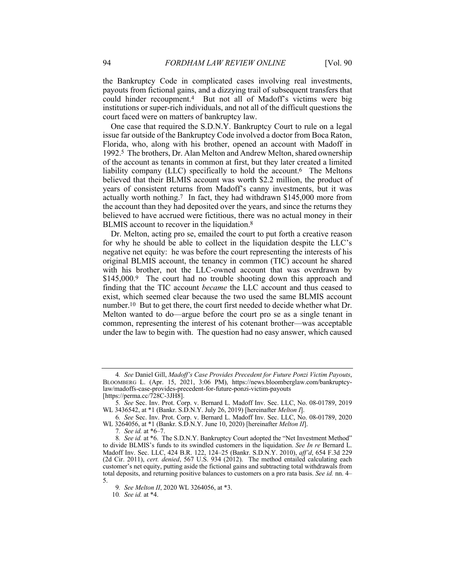the Bankruptcy Code in complicated cases involving real investments, payouts from fictional gains, and a dizzying trail of subsequent transfers that could hinder recoupment.4 But not all of Madoff's victims were big institutions or super-rich individuals, and not all of the difficult questions the court faced were on matters of bankruptcy law.

One case that required the S.D.N.Y. Bankruptcy Court to rule on a legal issue far outside of the Bankruptcy Code involved a doctor from Boca Raton, Florida, who, along with his brother, opened an account with Madoff in 1992.5 The brothers, Dr. Alan Melton and Andrew Melton, shared ownership of the account as tenants in common at first, but they later created a limited liability company (LLC) specifically to hold the account.6 The Meltons believed that their BLMIS account was worth \$2.2 million, the product of years of consistent returns from Madoff's canny investments, but it was actually worth nothing.7 In fact, they had withdrawn \$145,000 more from the account than they had deposited over the years, and since the returns they believed to have accrued were fictitious, there was no actual money in their BLMIS account to recover in the liquidation.<sup>8</sup>

Dr. Melton, acting pro se, emailed the court to put forth a creative reason for why he should be able to collect in the liquidation despite the LLC's negative net equity: he was before the court representing the interests of his original BLMIS account, the tenancy in common (TIC) account he shared with his brother, not the LLC-owned account that was overdrawn by \$145,000.9 The court had no trouble shooting down this approach and finding that the TIC account *became* the LLC account and thus ceased to exist, which seemed clear because the two used the same BLMIS account number.<sup>10</sup> But to get there, the court first needed to decide whether what Dr. Melton wanted to do—argue before the court pro se as a single tenant in common, representing the interest of his cotenant brother—was acceptable under the law to begin with. The question had no easy answer, which caused

<sup>4</sup>*. See* Daniel Gill, *Madoff's Case Provides Precedent for Future Ponzi Victim Payouts*, BLOOMBERG L. (Apr. 15, 2021, 3:06 PM), https://news.bloomberglaw.com/bankruptcylaw/madoffs-case-provides-precedent-for-future-ponzi-victim-payouts [https://perma.cc/ $\overline{7}28C-3JH\overline{8}$ ].

<sup>5</sup>*. See* Sec. Inv. Prot. Corp. v. Bernard L. Madoff Inv. Sec. LLC, No. 08-01789, 2019 WL 3436542, at \*1 (Bankr. S.D.N.Y. July 26, 2019) [hereinafter *Melton I*].

<sup>6</sup>*. See* Sec. Inv. Prot. Corp. v. Bernard L. Madoff Inv. Sec. LLC, No. 08-01789, 2020 WL 3264056, at \*1 (Bankr. S.D.N.Y. June 10, 2020) [hereinafter *Melton II*].

<sup>7</sup>*. See id.* at \*6–7.

<sup>8</sup>*. See id.* at \*6. The S.D.N.Y. Bankruptcy Court adopted the "Net Investment Method" to divide BLMIS's funds to its swindled customers in the liquidation. *See In re* Bernard L. Madoff Inv. Sec. LLC, 424 B.R. 122, 124–25 (Bankr. S.D.N.Y. 2010), *aff'd*, 654 F.3d 229 (2d Cir. 2011), *cert. denied*, 567 U.S. 934 (2012). The method entailed calculating each customer's net equity, putting aside the fictional gains and subtracting total withdrawals from total deposits, and returning positive balances to customers on a pro rata basis. *See id.* nn. 4– 5.

<sup>9</sup>*. See Melton II*, 2020 WL 3264056, at \*3.

<sup>10</sup>*. See id.* at \*4.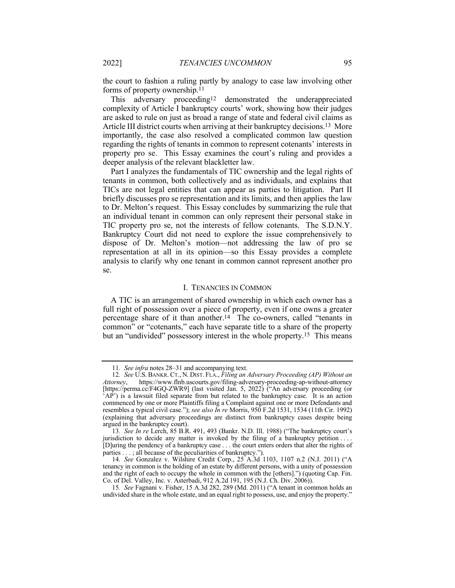the court to fashion a ruling partly by analogy to case law involving other forms of property ownership.11

This adversary proceeding<sup>12</sup> demonstrated the underappreciated complexity of Article I bankruptcy courts' work, showing how their judges are asked to rule on just as broad a range of state and federal civil claims as Article III district courts when arriving at their bankruptcy decisions.<sup>13</sup> More importantly, the case also resolved a complicated common law question regarding the rights of tenants in common to represent cotenants' interests in property pro se. This Essay examines the court's ruling and provides a deeper analysis of the relevant blackletter law.

Part I analyzes the fundamentals of TIC ownership and the legal rights of tenants in common, both collectively and as individuals, and explains that TICs are not legal entities that can appear as parties to litigation. Part II briefly discusses pro se representation and its limits, and then applies the law to Dr. Melton's request. This Essay concludes by summarizing the rule that an individual tenant in common can only represent their personal stake in TIC property pro se, not the interests of fellow cotenants. The S.D.N.Y. Bankruptcy Court did not need to explore the issue comprehensively to dispose of Dr. Melton's motion—not addressing the law of pro se representation at all in its opinion—so this Essay provides a complete analysis to clarify why one tenant in common cannot represent another pro se.

#### I. TENANCIES IN COMMON

A TIC is an arrangement of shared ownership in which each owner has a full right of possession over a piece of property, even if one owns a greater percentage share of it than another.<sup>14</sup> The co-owners, called "tenants in common" or "cotenants," each have separate title to a share of the property but an "undivided" possessory interest in the whole property.15 This means

<sup>11</sup>*. See infra* notes 28–31 and accompanying text.

<sup>12</sup>*. See* U.S. BANKR. CT., N. DIST. FLA., *Filing an Adversary Proceeding (AP) Without an Attorney*, https://www.flnb.uscourts.gov/filing-adversary-proceeding-ap-without-attorney [https://perma.cc/F4GQ-ZWR9] (last visited Jan. 5, 2022) ("An adversary proceeding (or 'AP') is a lawsuit filed separate from but related to the bankruptcy case. It is an action commenced by one or more Plaintiffs filing a Complaint against one or more Defendants and resembles a typical civil case."); *see also In re* Morris, 950 F.2d 1531, 1534 (11th Cir. 1992) (explaining that adversary proceedings are distinct from bankruptcy cases despite being argued in the bankruptcy court).

<sup>13</sup>*. See In re* Lerch, 85 B.R. 491, 493 (Bankr. N.D. Ill. 1988) ("The bankruptcy court's jurisdiction to decide any matter is invoked by the filing of a bankruptcy petition .... [D]uring the pendency of a bankruptcy case . . . the court enters orders that alter the rights of parties . . . ; all because of the peculiarities of bankruptcy.").

<sup>14</sup>*. See* Gonzalez v. Wilshire Credit Corp., 25 A.3d 1103, 1107 n.2 (N.J. 2011) ("A tenancy in common is the holding of an estate by different persons, with a unity of possession and the right of each to occupy the whole in common with the [others].") (quoting Cap. Fin. Co. of Del. Valley, Inc. v. Asterbadi, 912 A.2d 191, 195 (N.J. Ch. Div. 2006)).

<sup>15</sup>*. See* Fagnani v. Fisher, 15 A.3d 282, 289 (Md. 2011) ("A tenant in common holds an undivided share in the whole estate, and an equal right to possess, use, and enjoy the property."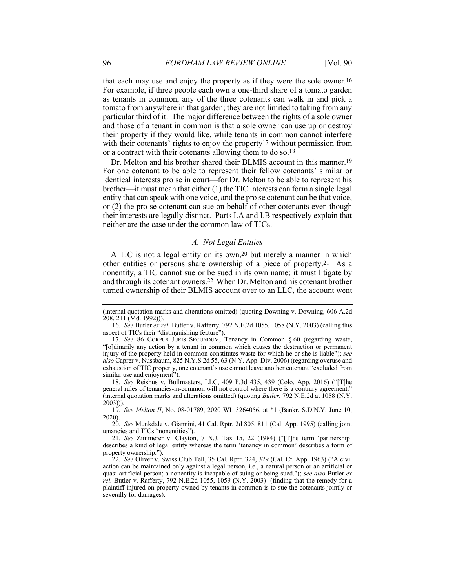that each may use and enjoy the property as if they were the sole owner.16 For example, if three people each own a one-third share of a tomato garden as tenants in common, any of the three cotenants can walk in and pick a tomato from anywhere in that garden; they are not limited to taking from any particular third of it. The major difference between the rights of a sole owner and those of a tenant in common is that a sole owner can use up or destroy their property if they would like, while tenants in common cannot interfere with their cotenants' rights to enjoy the property<sup>17</sup> without permission from or a contract with their cotenants allowing them to do so.<sup>18</sup>

Dr. Melton and his brother shared their BLMIS account in this manner.19 For one cotenant to be able to represent their fellow cotenants' similar or identical interests pro se in court—for Dr. Melton to be able to represent his brother—it must mean that either (1) the TIC interests can form a single legal entity that can speak with one voice, and the pro se cotenant can be that voice, or (2) the pro se cotenant can sue on behalf of other cotenants even though their interests are legally distinct. Parts I.A and I.B respectively explain that neither are the case under the common law of TICs.

# *A. Not Legal Entities*

A TIC is not a legal entity on its own,20 but merely a manner in which other entities or persons share ownership of a piece of property.21 As a nonentity, a TIC cannot sue or be sued in its own name; it must litigate by and through its cotenant owners.22 When Dr. Melton and his cotenant brother turned ownership of their BLMIS account over to an LLC, the account went

18*. See* Reishus v. Bullmasters, LLC, 409 P.3d 435, 439 (Colo. App. 2016) ("[T]he general rules of tenancies-in-common will not control where there is a contrary agreement." (internal quotation marks and alterations omitted) (quoting *Butler*, 792 N.E.2d at 1058 (N.Y. 2003))).

19*. See Melton II*, No. 08-01789, 2020 WL 3264056, at \*1 (Bankr. S.D.N.Y. June 10, 2020).

20*. See* Munkdale v. Giannini, 41 Cal. Rptr. 2d 805, 811 (Cal. App. 1995) (calling joint tenancies and TICs "nonentities").

21*. See* Zimmerer v. Clayton, 7 N.J. Tax 15, 22 (1984) ("[T]he term 'partnership' describes a kind of legal entity whereas the term 'tenancy in common' describes a form of property ownership.").

22*. See* Oliver v. Swiss Club Tell, 35 Cal. Rptr. 324, 329 (Cal. Ct. App. 1963) ("A civil action can be maintained only against a legal person, i.e., a natural person or an artificial or quasi-artificial person; a nonentity is incapable of suing or being sued."); *see also* Butler *ex rel.* Butler v. Rafferty, 792 N.E.2d 1055, 1059 (N.Y. 2003) (finding that the remedy for a plaintiff injured on property owned by tenants in common is to sue the cotenants jointly or severally for damages).

<sup>(</sup>internal quotation marks and alterations omitted) (quoting Downing v. Downing, 606 A.2d 208, 211 (Md. 1992))).

<sup>16</sup>*. See* Butler *ex rel.* Butler v. Rafferty, 792 N.E.2d 1055, 1058 (N.Y. 2003) (calling this aspect of TICs their "distinguishing feature").

<sup>17</sup>*. See* 86 CORPUS JURIS SECUNDUM, Tenancy in Common § 60 (regarding waste, "[o]dinarily any action by a tenant in common which causes the destruction or permanent injury of the property held in common constitutes waste for which he or she is liable"); *see also* Caprer v. Nussbaum, 825 N.Y.S.2d 55, 63 (N.Y. App. Div. 2006) (regarding overuse and exhaustion of TIC property, one cotenant's use cannot leave another cotenant "excluded from similar use and enjoyment").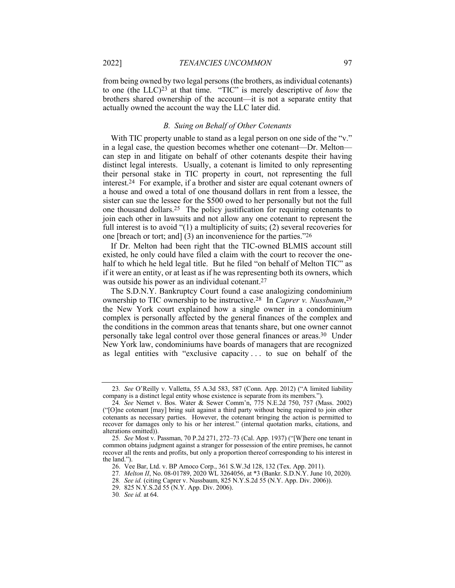from being owned by two legal persons (the brothers, as individual cotenants) to one (the LLC)23 at that time. "TIC" is merely descriptive of *how* the brothers shared ownership of the account—it is not a separate entity that actually owned the account the way the LLC later did.

#### *B. Suing on Behalf of Other Cotenants*

With TIC property unable to stand as a legal person on one side of the "v." in a legal case, the question becomes whether one cotenant—Dr. Melton can step in and litigate on behalf of other cotenants despite their having distinct legal interests. Usually, a cotenant is limited to only representing their personal stake in TIC property in court, not representing the full interest.24 For example, if a brother and sister are equal cotenant owners of a house and owed a total of one thousand dollars in rent from a lessee, the sister can sue the lessee for the \$500 owed to her personally but not the full one thousand dollars.25 The policy justification for requiring cotenants to join each other in lawsuits and not allow any one cotenant to represent the full interest is to avoid "(1) a multiplicity of suits; (2) several recoveries for one [breach or tort; and] (3) an inconvenience for the parties."26

If Dr. Melton had been right that the TIC-owned BLMIS account still existed, he only could have filed a claim with the court to recover the onehalf to which he held legal title. But he filed "on behalf of Melton TIC" as if it were an entity, or at least as if he was representing both its owners, which was outside his power as an individual cotenant.27

The S.D.N.Y. Bankruptcy Court found a case analogizing condominium ownership to TIC ownership to be instructive.28 In *Caprer v. Nussbaum*,29 the New York court explained how a single owner in a condominium complex is personally affected by the general finances of the complex and the conditions in the common areas that tenants share, but one owner cannot personally take legal control over those general finances or areas.30 Under New York law, condominiums have boards of managers that are recognized as legal entities with "exclusive capacity . . . to sue on behalf of the

<sup>23</sup>*. See* O'Reilly v. Valletta, 55 A.3d 583, 587 (Conn. App. 2012) ("A limited liability company is a distinct legal entity whose existence is separate from its members.").

<sup>24</sup>*. See* Nemet v. Bos. Water & Sewer Comm'n, 775 N.E.2d 750, 757 (Mass. 2002) ("[O]ne cotenant [may] bring suit against a third party without being required to join other cotenants as necessary parties. However, the cotenant bringing the action is permitted to recover for damages only to his or her interest." (internal quotation marks, citations, and alterations omitted)).

<sup>25</sup>*. See* Most v. Passman, 70 P.2d 271, 272–73 (Cal. App. 1937) ("[W]here one tenant in common obtains judgment against a stranger for possession of the entire premises, he cannot recover all the rents and profits, but only a proportion thereof corresponding to his interest in the land.").

<sup>26.</sup> Vee Bar, Ltd. v. BP Amoco Corp., 361 S.W.3d 128, 132 (Tex. App. 2011).

<sup>27</sup>*. Melton II*, No. 08-01789, 2020 WL 3264056, at \*3 (Bankr. S.D.N.Y. June 10, 2020).

<sup>28</sup>*. See id.* (citing Caprer v. Nussbaum, 825 N.Y.S.2d 55 (N.Y. App. Div. 2006)).

<sup>29.</sup> 825 N.Y.S.2d 55 (N.Y. App. Div. 2006).

<sup>30</sup>*. See id.* at 64.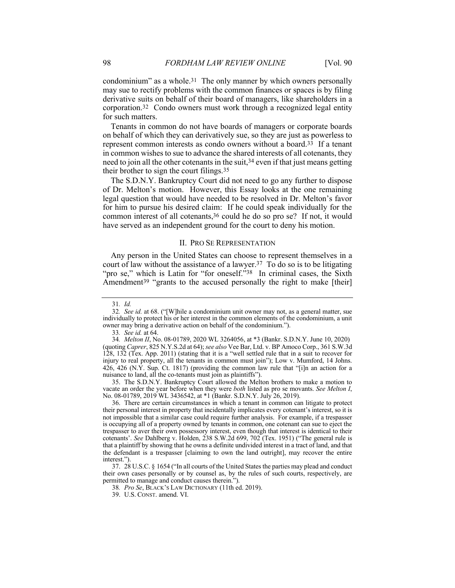condominium" as a whole.<sup>31</sup> The only manner by which owners personally may sue to rectify problems with the common finances or spaces is by filing derivative suits on behalf of their board of managers, like shareholders in a corporation.32 Condo owners must work through a recognized legal entity for such matters.

Tenants in common do not have boards of managers or corporate boards on behalf of which they can derivatively sue, so they are just as powerless to represent common interests as condo owners without a board.33 If a tenant in common wishes to sue to advance the shared interests of all cotenants, they need to join all the other cotenants in the suit,34 even if that just means getting their brother to sign the court filings.35

The S.D.N.Y. Bankruptcy Court did not need to go any further to dispose of Dr. Melton's motion. However, this Essay looks at the one remaining legal question that would have needed to be resolved in Dr. Melton's favor for him to pursue his desired claim: If he could speak individually for the common interest of all cotenants,<sup>36</sup> could he do so pro se? If not, it would have served as an independent ground for the court to deny his motion.

#### II. PRO SE REPRESENTATION

Any person in the United States can choose to represent themselves in a court of law without the assistance of a lawyer.37 To do so is to be litigating "pro se," which is Latin for "for oneself."38 In criminal cases, the Sixth Amendment<sup>39</sup> "grants to the accused personally the right to make [their]

35. The S.D.N.Y. Bankruptcy Court allowed the Melton brothers to make a motion to vacate an order the year before when they were *both* listed as pro se movants. *See Melton I*, No. 08-01789, 2019 WL 3436542, at \*1 (Bankr. S.D.N.Y. July 26, 2019).

36. There are certain circumstances in which a tenant in common can litigate to protect their personal interest in property that incidentally implicates every cotenant's interest, so it is not impossible that a similar case could require further analysis. For example, if a trespasser is occupying all of a property owned by tenants in common, one cotenant can sue to eject the trespasser to aver their own possessory interest, even though that interest is identical to their cotenants'. *See* Dahlberg v. Holden, 238 S.W.2d 699, 702 (Tex. 1951) ("The general rule is that a plaintiff by showing that he owns a definite undivided interest in a tract of land, and that the defendant is a trespasser [claiming to own the land outright], may recover the entire interest.").

37. 28 U.S.C. § 1654 ("In all courts of the United States the parties may plead and conduct their own cases personally or by counsel as, by the rules of such courts, respectively, are permitted to manage and conduct causes therein.").

38*. Pro Se*, BLACK'S LAW DICTIONARY (11th ed. 2019).

<sup>31</sup>*. Id.*

<sup>32</sup>*. See id.* at 68. ("[W]hile a condominium unit owner may not, as a general matter, sue individually to protect his or her interest in the common elements of the condominium, a unit owner may bring a derivative action on behalf of the condominium.").

<sup>33</sup>*. See id.* at 64.

<sup>34</sup>*. Melton II*, No. 08-01789, 2020 WL 3264056, at \*3 (Bankr. S.D.N.Y. June 10, 2020) (quoting *Caprer*, 825 N.Y.S.2d at 64); *see also* Vee Bar, Ltd. v. BP Amoco Corp., 361 S.W.3d 128, 132 (Tex. App. 2011) (stating that it is a "well settled rule that in a suit to recover for injury to real property, all the tenants in common must join"); Low v. Mumford, 14 Johns. 426, 426 (N.Y. Sup. Ct. 1817) (providing the common law rule that "[i]n an action for a nuisance to land, all the co-tenants must join as plaintiffs").

<sup>39.</sup> U.S. CONST. amend. VI.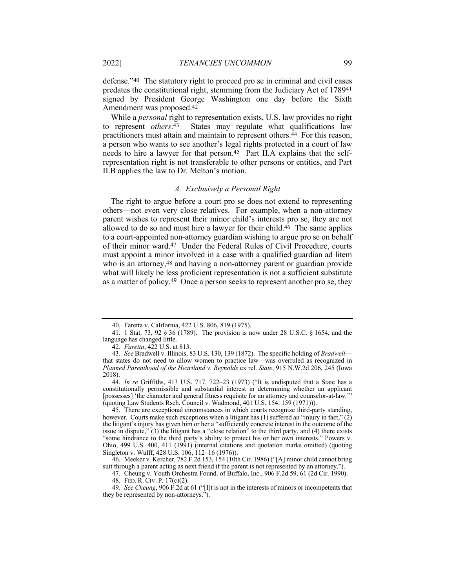defense."40 The statutory right to proceed pro se in criminal and civil cases predates the constitutional right, stemming from the Judiciary Act of 178941 signed by President George Washington one day before the Sixth Amendment was proposed.42

While a *personal* right to representation exists, U.S. law provides no right to represent *others*.43 States may regulate what qualifications law practitioners must attain and maintain to represent others.44 For this reason, a person who wants to see another's legal rights protected in a court of law needs to hire a lawyer for that person.45 Part II.A explains that the selfrepresentation right is not transferable to other persons or entities, and Part II.B applies the law to Dr. Melton's motion.

#### *A. Exclusively a Personal Right*

The right to argue before a court pro se does not extend to representing others—not even very close relatives. For example, when a non-attorney parent wishes to represent their minor child's interests pro se, they are not allowed to do so and must hire a lawyer for their child.46 The same applies to a court-appointed non-attorney guardian wishing to argue pro se on behalf of their minor ward.47 Under the Federal Rules of Civil Procedure, courts must appoint a minor involved in a case with a qualified guardian ad litem who is an attorney,<sup>48</sup> and having a non-attorney parent or guardian provide what will likely be less proficient representation is not a sufficient substitute as a matter of policy.<sup>49</sup> Once a person seeks to represent another pro se, they

44. *In re* Griffiths, 413 U.S. 717, 722–23 (1973) ("It is undisputed that a State has a constitutionally permissible and substantial interest in determining whether an applicant [possesses] 'the character and general fitness requisite for an attorney and counselor-at-law.'" (quoting Law Students Rsch. Council v. Wadmond, 401 U.S. 154, 159 (1971))).

45. There are exceptional circumstances in which courts recognize third-party standing, however. Courts make such exceptions when a litigant has (1) suffered an "injury in fact," (2) the litigant's injury has given him or her a "sufficiently concrete interest in the outcome of the issue in dispute," (3) the litigant has a "close relation" to the third party, and (4) there exists "some hindrance to the third party's ability to protect his or her own interests." Powers v. Ohio, 499 U.S. 400, 411 (1991) (internal citations and quotation marks omitted) (quoting Singleton v. Wulff, 428 U.S. 106, 112–16 (1976)).

46. Meeker v. Kercher, 782 F.2d 153, 154 (10th Cir. 1986) ("[A] minor child cannot bring suit through a parent acting as next friend if the parent is not represented by an attorney.").

47. Cheung v. Youth Orchestra Found. of Buffalo, Inc., 906 F.2d 59, 61 (2d Cir. 1990).

48. FED. R. CIV. P. 17(c)(2).

49*. See Cheung*, 906 F.2d at 61 ("[I]t is not in the interests of minors or incompetents that they be represented by non-attorneys.").

<sup>40.</sup> Faretta v. California, 422 U.S. 806, 819 (1975).

<sup>41.</sup> 1 Stat. 73, 92 § 36 (1789). The provision is now under 28 U.S.C. § 1654, and the language has changed little.

<sup>42</sup>*. Faretta*, 422 U.S. at 813.

<sup>43</sup>*. See* Bradwell v. Illinois, 83 U.S. 130, 139 (1872). The specific holding of *Bradwell* that states do not need to allow women to practice law—was overruled as recognized in *Planned Parenthood of the Heartland v. Reynolds* ex rel. *State*, 915 N.W.2d 206, 245 (Iowa 2018).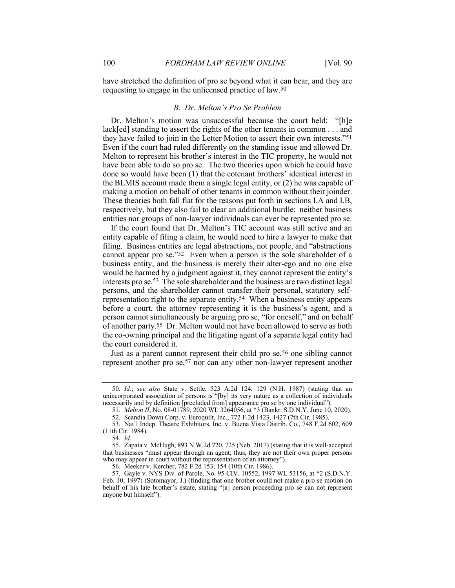have stretched the definition of pro se beyond what it can bear, and they are requesting to engage in the unlicensed practice of law.50

# *B. Dr. Melton's Pro Se Problem*

Dr. Melton's motion was unsuccessful because the court held: "[h]e lack[ed] standing to assert the rights of the other tenants in common . . . and they have failed to join in the Letter Motion to assert their own interests."51 Even if the court had ruled differently on the standing issue and allowed Dr. Melton to represent his brother's interest in the TIC property, he would not have been able to do so pro se. The two theories upon which he could have done so would have been (1) that the cotenant brothers' identical interest in the BLMIS account made them a single legal entity, or (2) he was capable of making a motion on behalf of other tenants in common without their joinder. These theories both fall flat for the reasons put forth in sections I.A and I.B, respectively, but they also fail to clear an additional hurdle: neither business entities nor groups of non-lawyer individuals can ever be represented pro se.

If the court found that Dr. Melton's TIC account was still active and an entity capable of filing a claim, he would need to hire a lawyer to make that filing. Business entities are legal abstractions, not people, and "abstractions cannot appear pro se."52 Even when a person is the sole shareholder of a business entity, and the business is merely their alter-ego and no one else would be harmed by a judgment against it, they cannot represent the entity's interests pro se.53 The sole shareholder and the business are two distinct legal persons, and the shareholder cannot transfer their personal, statutory selfrepresentation right to the separate entity.54 When a business entity appears before a court, the attorney representing it is the business's agent, and a person cannot simultaneously be arguing pro se, "for oneself," and on behalf of another party.55 Dr. Melton would not have been allowed to serve as both the co-owning principal and the litigating agent of a separate legal entity had the court considered it.

Just as a parent cannot represent their child pro se,<sup>56</sup> one sibling cannot represent another pro se,57 nor can any other non-lawyer represent another

<sup>50.</sup> *Id.*; *see also* State v. Settle, 523 A.2d 124, 129 (N.H. 1987) (stating that an unincorporated association of persons is "[by] its very nature as a collection of individuals necessarily and by definition [precluded from] appearance pro se by one individual").

<sup>51</sup>*. Melton II*, No. 08-01789, 2020 WL 3264056, at \*3 (Bankr. S.D.N.Y. June 10, 2020). 52. Scandia Down Corp. v. Euroquilt, Inc., 772 F.2d 1423, 1427 (7th Cir. 1985).

<sup>53.</sup> Nat'l Indep. Theatre Exhibitors, Inc. v. Buena Vista Distrib. Co., 748 F.2d 602, 609 (11th Cir. 1984).

<sup>54</sup>*. Id.*

<sup>55.</sup> Zapata v. McHugh, 893 N.W.2d 720, 725 (Neb. 2017) (stating that it is well-accepted that businesses "must appear through an agent; thus, they are not their own proper persons who may appear in court without the representation of an attorney").

<sup>56.</sup> Meeker v. Kercher, 782 F.2d 153, 154 (10th Cir. 1986).

<sup>57.</sup> Gayle v. NYS Div. of Parole, No. 95 CIV. 10552, 1997 WL 53156, at \*2 (S.D.N.Y. Feb. 10, 1997) (Sotomayor, J.) (finding that one brother could not make a pro se motion on behalf of his late brother's estate, stating "[a] person proceeding pro se can not represent anyone but himself").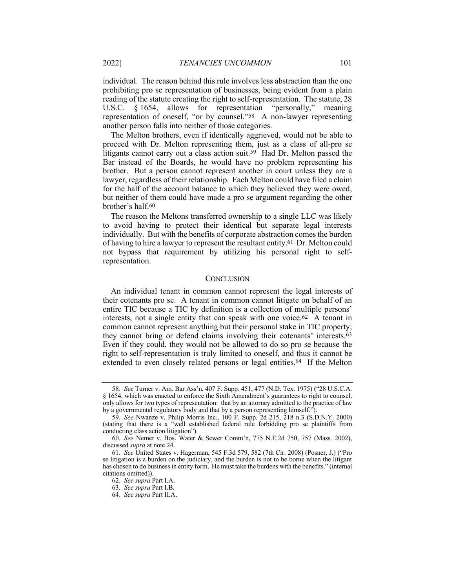individual. The reason behind this rule involves less abstraction than the one prohibiting pro se representation of businesses, being evident from a plain reading of the statute creating the right to self-representation. The statute, 28 U.S.C. § 1654, allows for representation "personally," meaning representation of oneself, "or by counsel."58 A non-lawyer representing another person falls into neither of those categories.

The Melton brothers, even if identically aggrieved, would not be able to proceed with Dr. Melton representing them, just as a class of all-pro se litigants cannot carry out a class action suit.59 Had Dr. Melton passed the Bar instead of the Boards, he would have no problem representing his brother. But a person cannot represent another in court unless they are a lawyer, regardless of their relationship. Each Melton could have filed a claim for the half of the account balance to which they believed they were owed, but neither of them could have made a pro se argument regarding the other brother's half.60

The reason the Meltons transferred ownership to a single LLC was likely to avoid having to protect their identical but separate legal interests individually. But with the benefits of corporate abstraction comes the burden of having to hire a lawyer to represent the resultant entity.<sup>61</sup> Dr. Melton could not bypass that requirement by utilizing his personal right to selfrepresentation.

# **CONCLUSION**

An individual tenant in common cannot represent the legal interests of their cotenants pro se. A tenant in common cannot litigate on behalf of an entire TIC because a TIC by definition is a collection of multiple persons' interests, not a single entity that can speak with one voice.<sup>62</sup> A tenant in common cannot represent anything but their personal stake in TIC property; they cannot bring or defend claims involving their cotenants' interests.63 Even if they could, they would not be allowed to do so pro se because the right to self-representation is truly limited to oneself, and thus it cannot be extended to even closely related persons or legal entities.<sup>64</sup> If the Melton

<sup>58</sup>*. See* Turner v. Am. Bar Ass'n, 407 F. Supp. 451, 477 (N.D. Tex. 1975) ("28 U.S.C.A. § 1654, which was enacted to enforce the Sixth Amendment's guarantees to right to counsel, only allows for two types of representation: that by an attorney admitted to the practice of law by a governmental regulatory body and that by a person representing himself.").

<sup>59</sup>*. See* Nwanze v. Philip Morris Inc., 100 F. Supp. 2d 215, 218 n.3 (S.D.N.Y. 2000) (stating that there is a "well established federal rule forbidding pro se plaintiffs from conducting class action litigation").

<sup>60</sup>*. See* Nemet v. Bos. Water & Sewer Comm'n, 775 N.E.2d 750, 757 (Mass. 2002), discussed *supra* at note 24.

<sup>61</sup>*. See* United States v. Hagerman, 545 F.3d 579, 582 (7th Cir. 2008) (Posner, J.) ("Pro se litigation is a burden on the judiciary, and the burden is not to be borne when the litigant has chosen to do business in entity form. He must take the burdens with the benefits." (internal citations omitted)).

<sup>62</sup>*. See supra* Part I.A.

<sup>63</sup>*. See supra* Part I.B.

<sup>64</sup>*. See supra* Part II.A.